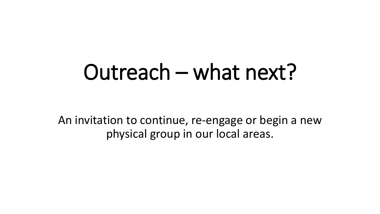## Outreach – what next?

An invitation to continue, re-engage or begin a new physical group in our local areas.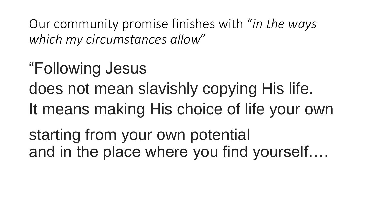Our community promise finishes with "*in the ways which my circumstances allow*"

"Following Jesus does not mean slavishly copying His life. It means making His choice of life your own starting from your own potential and in the place where you find yourself….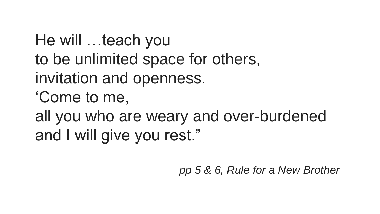He will …teach you to be unlimited space for others, invitation and openness. 'Come to me, all you who are weary and over-burdened and I will give you rest."

*pp 5 & 6, Rule for a New Brother*